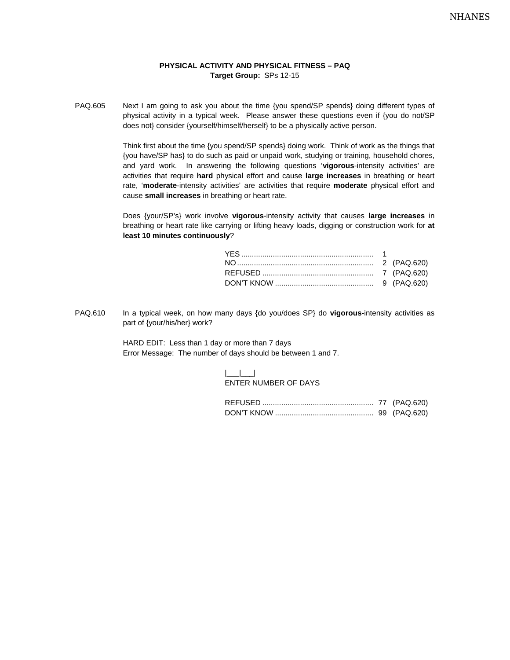## **PHYSICAL ACTIVITY AND PHYSICAL FITNESS – PAQ Target Group:** SPs 12-15

PAQ.605 Next I am going to ask you about the time {you spend/SP spends} doing different types of physical activity in a typical week. Please answer these questions even if {you do not/SP does not} consider {yourself/himself/herself} to be a physically active person.

> Think first about the time {you spend/SP spends} doing work. Think of work as the things that {you have/SP has} to do such as paid or unpaid work, studying or training, household chores, and yard work. In answering the following questions '**vigorous**-intensity activities' are activities that require **hard** physical effort and cause **large increases** in breathing or heart rate, '**moderate**-intensity activities' are activities that require **moderate** physical effort and cause **small increases** in breathing or heart rate.

> Does {your/SP's} work involve **vigorous**-intensity activity that causes **large increases** in breathing or heart rate like carrying or lifting heavy loads, digging or construction work for **at least 10 minutes continuously**?

PAQ.610 In a typical week, on how many days {do you/does SP} do **vigorous**-intensity activities as part of {your/his/her} work?

> HARD EDIT: Less than 1 day or more than 7 days Error Message: The number of days should be between 1 and 7.

| $\begin{array}{ccc} \end{array}$ |
|----------------------------------|
| ENTER NUMBER OF DAYS             |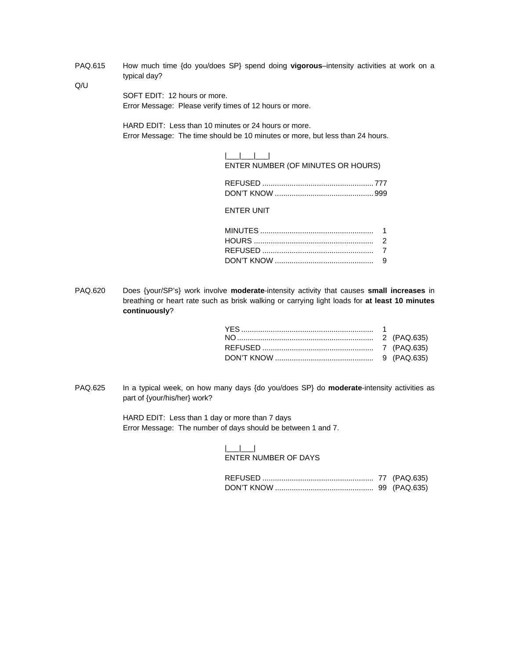PAQ.615 How much time {do you/does SP} spend doing **vigorous**–intensity activities at work on a typical day?

Q/U

SOFT EDIT: 12 hours or more. Error Message: Please verify times of 12 hours or more.

HARD EDIT: Less than 10 minutes or 24 hours or more. Error Message: The time should be 10 minutes or more, but less than 24 hours.

| ENTER NUMBER (OF MINUTES OR HOURS) |  |
|------------------------------------|--|

ENTER UNIT

PAQ.620 Does {your/SP's} work involve **moderate**-intensity activity that causes **small increases** in breathing or heart rate such as brisk walking or carrying light loads for **at least 10 minutes continuously**?

PAQ.625 In a typical week, on how many days {do you/does SP} do **moderate**-intensity activities as part of {your/his/her} work?

> HARD EDIT: Less than 1 day or more than 7 days Error Message: The number of days should be between 1 and 7.

## $|$ ENTER NUMBER OF DAYS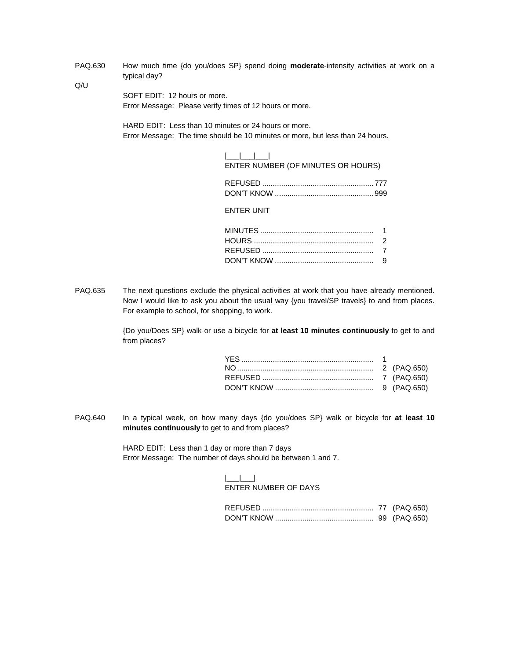PAQ.630 How much time {do you/does SP} spend doing **moderate**-intensity activities at work on a typical day?

Q/U

SOFT EDIT: 12 hours or more. Error Message: Please verify times of 12 hours or more.

HARD EDIT: Less than 10 minutes or 24 hours or more. Error Message: The time should be 10 minutes or more, but less than 24 hours.

| ENTER NUMBER (OF MINUTES OR HOURS) |  |
|------------------------------------|--|

ENTER UNIT

PAQ.635 The next questions exclude the physical activities at work that you have already mentioned. Now I would like to ask you about the usual way {you travel/SP travels} to and from places. For example to school, for shopping, to work.

> {Do you/Does SP} walk or use a bicycle for **at least 10 minutes continuously** to get to and from places?

PAQ.640 In a typical week, on how many days {do you/does SP} walk or bicycle for **at least 10 minutes continuously** to get to and from places?

> HARD EDIT: Less than 1 day or more than 7 days Error Message: The number of days should be between 1 and 7.

## $|$ ENTER NUMBER OF DAYS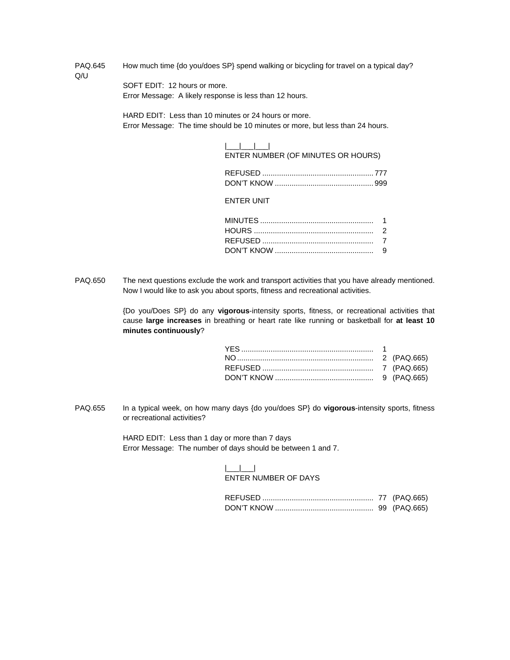PAQ.645 How much time {do you/does SP} spend walking or bicycling for travel on a typical day? Q/U

> SOFT EDIT: 12 hours or more. Error Message: A likely response is less than 12 hours.

HARD EDIT: Less than 10 minutes or 24 hours or more. Error Message: The time should be 10 minutes or more, but less than 24 hours.

| ENTER NUMBER (OF MINUTES OR HOURS) |  |
|------------------------------------|--|

ENTER UNIT

PAQ.650 The next questions exclude the work and transport activities that you have already mentioned. Now I would like to ask you about sports, fitness and recreational activities.

> {Do you/Does SP} do any **vigorous**-intensity sports, fitness, or recreational activities that cause **large increases** in breathing or heart rate like running or basketball for **at least 10 minutes continuously**?

PAQ.655 In a typical week, on how many days {do you/does SP} do **vigorous**-intensity sports, fitness or recreational activities?

> HARD EDIT: Less than 1 day or more than 7 days Error Message: The number of days should be between 1 and 7.

> > |\_\_\_|\_\_\_| ENTER NUMBER OF DAYS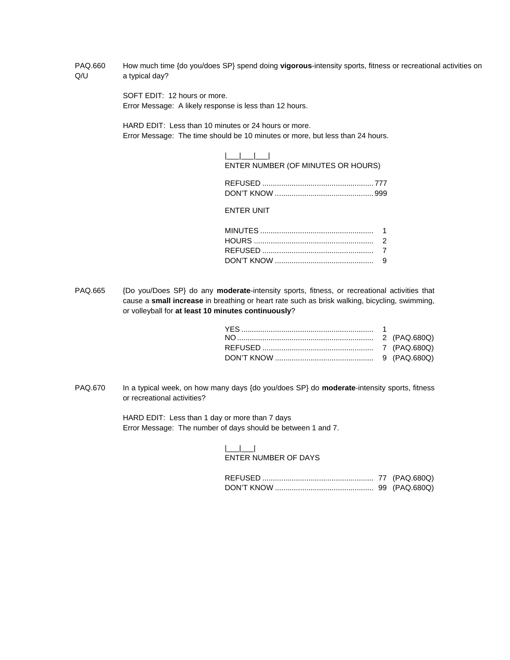PAQ.660 How much time {do you/does SP} spend doing **vigorous**-intensity sports, fitness or recreational activities on Q/U a typical day?

> SOFT EDIT: 12 hours or more. Error Message: A likely response is less than 12 hours.

HARD EDIT: Less than 10 minutes or 24 hours or more. Error Message: The time should be 10 minutes or more, but less than 24 hours.

| ENTER NUMBER (OF MINUTES OR HOURS) |  |
|------------------------------------|--|

ENTER UNIT

PAQ.665 {Do you/Does SP} do any **moderate**-intensity sports, fitness, or recreational activities that cause a **small increase** in breathing or heart rate such as brisk walking, bicycling, swimming, or volleyball for **at least 10 minutes continuously**?

PAQ.670 In a typical week, on how many days {do you/does SP} do **moderate-**intensity sports, fitness or recreational activities?

> HARD EDIT: Less than 1 day or more than 7 days Error Message: The number of days should be between 1 and 7.

## $|$ ENTER NUMBER OF DAYS